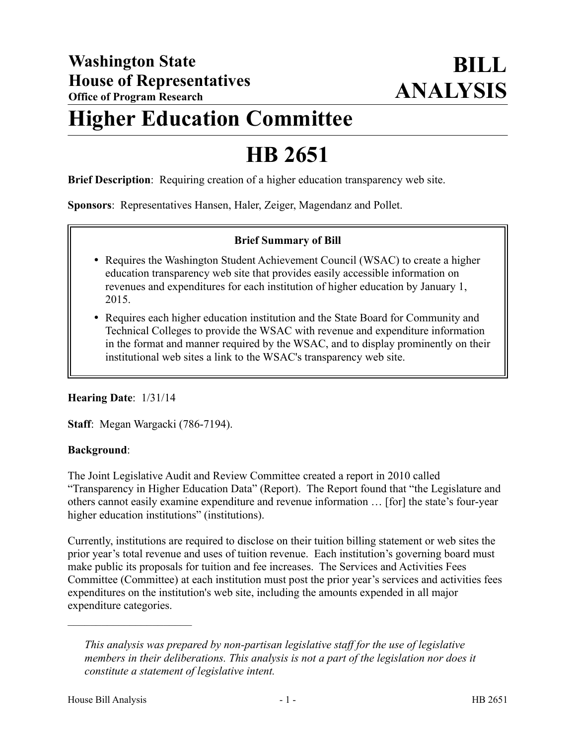# **Higher Education Committee**

## **HB 2651**

**Brief Description**: Requiring creation of a higher education transparency web site.

**Sponsors**: Representatives Hansen, Haler, Zeiger, Magendanz and Pollet.

### **Brief Summary of Bill**

- Requires the Washington Student Achievement Council (WSAC) to create a higher education transparency web site that provides easily accessible information on revenues and expenditures for each institution of higher education by January 1, 2015.
- Requires each higher education institution and the State Board for Community and Technical Colleges to provide the WSAC with revenue and expenditure information in the format and manner required by the WSAC, and to display prominently on their institutional web sites a link to the WSAC's transparency web site.

### **Hearing Date**: 1/31/14

**Staff**: Megan Wargacki (786-7194).

### **Background**:

The Joint Legislative Audit and Review Committee created a report in 2010 called "Transparency in Higher Education Data" (Report). The Report found that "the Legislature and others cannot easily examine expenditure and revenue information … [for] the state's four-year higher education institutions" (institutions).

Currently, institutions are required to disclose on their tuition billing statement or web sites the prior year's total revenue and uses of tuition revenue. Each institution's governing board must make public its proposals for tuition and fee increases. The Services and Activities Fees Committee (Committee) at each institution must post the prior year's services and activities fees expenditures on the institution's web site, including the amounts expended in all major expenditure categories.

––––––––––––––––––––––

*This analysis was prepared by non-partisan legislative staff for the use of legislative members in their deliberations. This analysis is not a part of the legislation nor does it constitute a statement of legislative intent.*